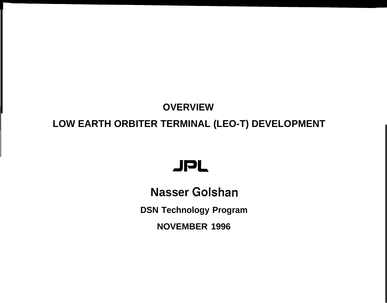# **OVERVIEW LOW EARTH ORBITER TERMINAL (LEO-T) DEVELOPMENT**

# JPL

**Nasser Golshan DSN Technology Program NOVEMBER 1996**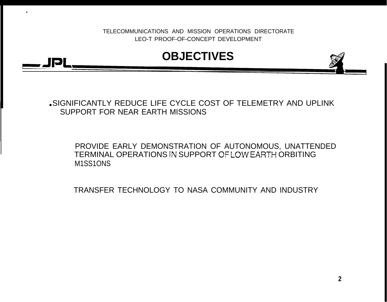

.

.SIGNIFICANTLY REDUCE LIFE CYCLE COST OF TELEMETRY AND UPLINK SUPPORT FOR NEAR EARTH MISSIONS

PROVIDE EARLY DEMONSTRATION OF AUTONOMOUS, UNATTENDED TERMINAL OPERATIONS !N SUPPORT OF LOW EAFiTH ORBITING M1SS1ONS

TRANSFER TECHNOLOGY TO NASA COMMUNITY AND INDUSTRY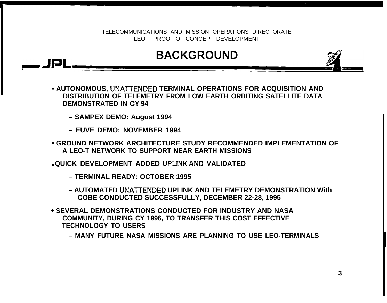## ~JPL **BACKGROUND**

- **s AUTONOMOUS, UNA17ENDED TERMINAL OPERATIONS FOR ACQUISITION AND DISTRIBUTION OF TELEMETRY FROM LOW EARTH ORBITING SATELLITE DATA DEMONSTRATED IN CY 94**
	- **SAMPEX DEMO: August 1994**
	- **EUVE DEMO: NOVEMBER 1994**
- **" GROUND NETWORK ARCHITECTURE STUDY RECOMMENDED IMPLEMENTATION OF A LEO-T NETWORK TO SUPPORT NEAR EARTH MISSIONS**
- **QUICK DEVELOPMENT ADDED UPLINK AND VALIDATED**
	- **TERMINAL READY: OCTOBER 1995**
	- **AUTOMATED UNATTENDED UPLINK AND TELEMETRY DEMONSTRATION With COBE CONDUCTED SUCCESSFULLY, DECEMBER 22-28, 1995**
- **" SEVERAL DEMONSTRATIONS CONDUCTED FOR INDUSTRY AND NASA COMMUNITY, DURING CY 1996, TO TRANSFER THIS COST EFFECTIVE TECHNOLOGY TO USERS**
	- **MANY FUTURE NASA MISSIONS ARE PLANNING TO USE LEO-TERMINALS**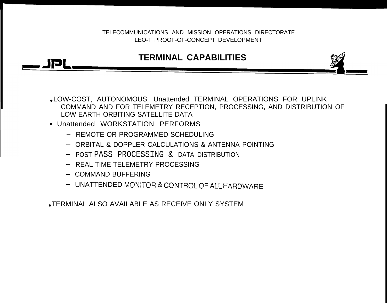### **TERMINAL CAPABILITIES**

• LOW-COST, AUTONOMOUS, Unattended TERMINAL OPERATIONS FOR UPLINK COMMAND AND FOR TELEMETRY RECEPTION, PROCESSING, AND DISTRIBUTION OF LOW EARTH ORBITING SATELLITE DATA

- $\bullet$  Unattended WORKSTATION PERFORMS
	- REMOTE OR PROGRAMMED SCHEDULING
	- ORBITAL & DOPPLER CALCULATIONS & ANTENNA POINTING
	- POST PASS PROCESSING & DATA DISTRIBUTION
	- REAL TIME TELEMETRY PROCESSING
	- COMMAND BUFFERING

191

- UNATTENDED MONITOR & CONTROL OF ALL HARDWARE

TERMINAL ALSO AVAILABLE AS RECEIVE ONLY SYSTEM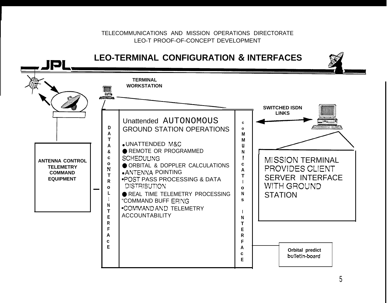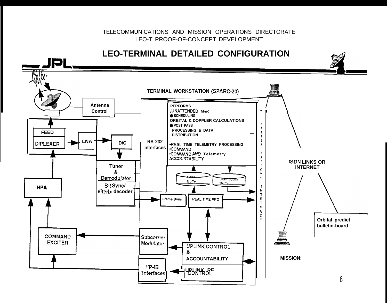#### **LEO-TERMINAL DETAILED CONFIGURATION**

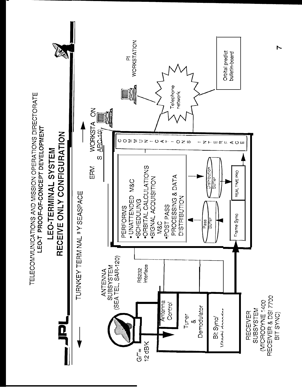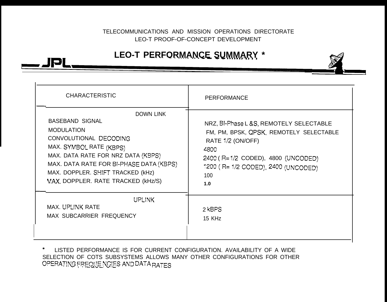TELECOMMUNICATIONS AND MISSION OPERATIONS DIRECTORATE LEO-T PROOF-OF-CONCEPT DEVELOPMENT TELECOMMUNICATIONS AND MISSION OPERATIONS DIRECTORATE<br>LEO-T PROOF-OF-CONCEPT DEVELOPMENT<br>LEO-T PERFORMANCE SUMMARY \*



\* LISTED PERFORMANCE IS FOR CURRENT CONFIGURATION. AVAILABILITY OF A WIDE SELECTION OF COTS SUBSYSTEMS ALLOWS MANY OTHER CONFIGURATIONS FOR OTHER OPERATING FREQUE NOIES AND DATA RATES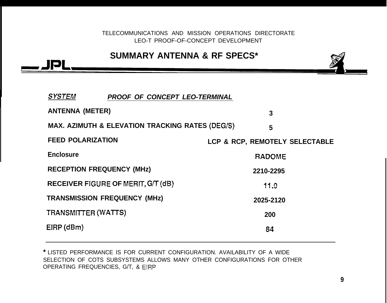TELECOMMUNICATIONS AND MISSION OPERATIONS DIRECTORATE LEO-T PROOF-OF-CONCEPT DEVELOPMENT TELECOMMUNICATIONS AND MISSION OPERATIONS DIRECTORATE<br>LEO-T PROOF-OF-CONCEPT DEVELOPMENT<br>SUMMARY ANTENNA & RF SPECS\*

#### **SUMMARY ANTENNA & RF SPECS\***

**SYSTEM PROOF OF CONCEPT LEO-TERMINAL ANTENNA (METER) 3 MAX. AZIMUTH & ELEVATION TRACKING RATES (DEG/S) 5 FEED POLARIZATION LCP & RCP, REMOTELY SELECTABLE Enclosure RADOME RECEPTION FREQUENCY (MHz) 2210-2295 RECEIVER FIGURE OF MERIT, G/T (dB) following**  $f(1,0)$ **TRANSMISSION FREQUENCY (MHz) 2025-2120 TRANSMlrrER (WATS) <sup>200</sup> EIRP (dBm) 84**

**\*** LISTED PERFORMANCE IS FOR CURRENT CONFIGURATION. AVAILABILITY OF A WIDE SELECTION OF COTS SUBSYSTEMS ALLOWS MANY OTHER CONFIGURATIONS FOR OTHER OPERATING FREQUENCIES, G/T, & EIRP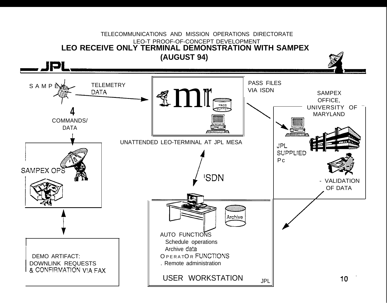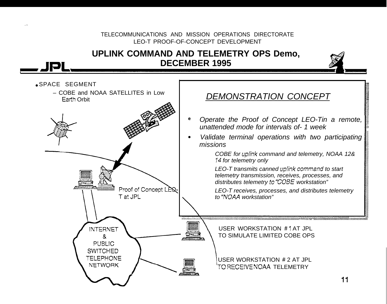#### TELECOMMUNICATIONS AND MISSION OPERATIONS DIRECTORATE LEO-T PROOF-OF-CONCEPT DEVELOPMENT UPLINK COMMAND AND TELEMETRY OPS Demo, **DECEMBER 1995** D SPACE SEGMENT - COBE and NOAA SATELLITES in Low DEMONSTRATION CONCEPT Earth Orbit Operate the Proof of Concept LEO-Tin a remote,  $\mathbf{e}$ unattended mode for intervals of -1 week Validate terminal operations with two participating  $\bullet$ missions COBE for uplink command and telemetry, NOAA 12& 14 for telemetry only LEO-T transmits canned uplink command to start telemetry transmission, receives, processes, and distributes telemetry to "COBE workstation" Proof of Concept LEQ-LEO-T receives, processes, and distributes telemetry to "NOAA workstation" T at JPL \*\*\*\*\*\*\*\*\*\*\*\*\*\*\*\*\* **INTERNET** USER WORKSTATION #1 AT JPL TO SIMULATE LIMITED COBE OPS  $\mathbf{g}$ PUBLIC. **SWITCHED TELEPHONE** USER WORKSTATION # 2 AT JPL **NETWORK** TO RECEIVE NOAA TELEMETRY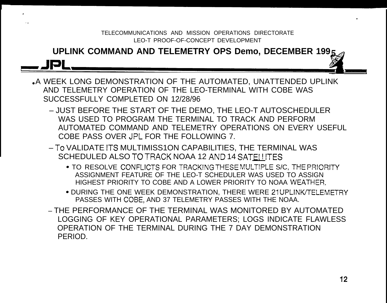# **UPLINK COMMAND AND TELEMETRY OPS Demo, DECEMBER 199** TELECOMMUNICATIONS AND MISSION OPERATIONS DIRECTORATE<br>LEO-T PROOF-OF-CONCEPT DEVELOPMENT<br>**UPLINK COMMAND AND TELEMETRY OPS Demo, DECEMBER 1995**<br>A WEEK LONG DEMONSTRATION OF THE AUTOMATED, UNATTENDED UPLINK

.

,.

- AND TELEMETRY OPERATION OF THE LEO-TERMINAL WITH COBE WAS SUCCESSFULLY COMPLETED ON 12/28/96
	- JUST BEFORE THE START OF THE DEMO, THE LEO-T AUTOSCHEDULER WAS USED TO PROGRAM THE TERMINAL TO TRACK AND PERFORM AUTOMATED COMMAND AND TELEMETRY OPERATIONS ON EVERY USEFUL COBE PASS OVER JPL FOR THE FOLLOWING 7.
	- To VALIDATE ITS MULTIMISS1ON CAPABILITIES, THE TERMINAL WAS SCHEDULED ALSO TO TRACK NOAA 12 AND 14 SATE!!ITES
		- . TO RESOLVE CONFLICTS FOR TRACKING THESE MULTIPLE S/C, THE PRIORITY ASSIGNMENT FEATURE OF THE LEO-T SCHEDULER WAS USED TO ASSIGN HIGHEST PRIORITY TO COBE AND A LOWER PRIORITY TO NOAA WEATHER.
		- . DURING THE ONE WEEK DEMONSTRATION, THERE WERE 21 UPLINK/TELEMETRY PASSES WITH COBE, AND 37 TELEMETRY PASSES WITH THE NOAA.
	- THE PERFORMANCE OF THE TERMINAL WAS MONITORED BY AUTOMATED LOGGING OF KEY OPERATIONAL PARAMETERS; LOGS INDICATE FLAWLESS OPERATION OF THE TERMINAL DURING THE 7 DAY DEMONSTRATION PERIOD.

.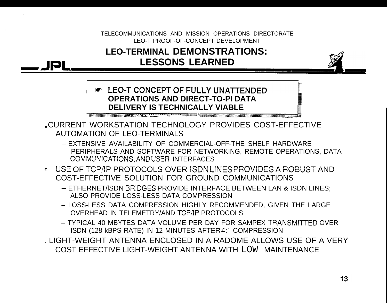

#### **EXAMPLE ON CONCEPT OF FULLY UNATTENDED OPERATIONS AND DIRECT-TO-PI DATA DELIVERY IS TECHNICALLY VIABLE**

CURRENT WORKSTATION TECHNOLOGY PROVIDES COST-EFFECTIVE **AUTOMATION OF LEO-TERMINALS** 

- EXTENSIVE AVAILABILITY OF COMMERCIAL-OFF-THE SHELF HARDWARE PERIPHERALS AND SOFTWARE FOR NETWORKING, REMOTE OPERATIONS, DATA COMMUNICATIONS, AND USER INTERFACES
- USE OF TCP/IP PROTOCOLS OVER ISDNLINES PROVIDES A ROBUST AND COST-EFFECTIVE SOLUTION FOR GROUND COMMUNICATIONS
	- ETHERNET/ISDN BRIDGES PROVIDE INTERFACE BETWEEN LAN & ISDN LINES: ALSO PROVIDE LOSS-LESS DATA COMPRESSION
	- LOSS-LESS DATA COMPRESSION HIGHLY RECOMMENDED. GIVEN THE LARGE OVERHEAD IN TELEMETRY/AND TCP/IP PROTOCOLS
	- TYPICAL 40 MBYTES DATA VOLUME PER DAY FOR SAMPEX TRANSMITTED OVER ISDN (128 KBPS RATE) IN 12 MINUTES AFTER 4:1 COMPRESSION
- . LIGHT-WEIGHT ANTENNA ENCLOSED IN A RADOME ALLOWS USE OF A VERY COST EFFECTIVE LIGHT-WEIGHT ANTENNA WITH LOW MAINTENANCE